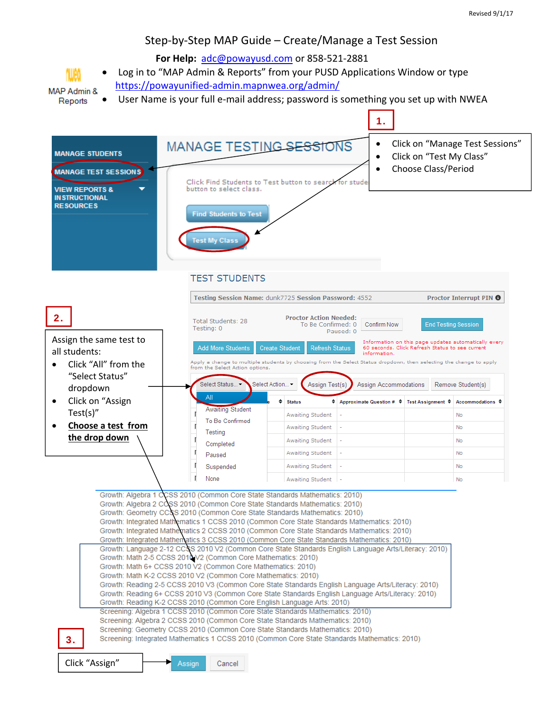#### Step‐by‐Step MAP Guide – Create/Manage a Test Session

 **For Help:** adc@powayusd.com or 858‐521‐2881



**MAP Admin &** Reports

User Name is your full e‐mail address; password is something you set up with NWEA

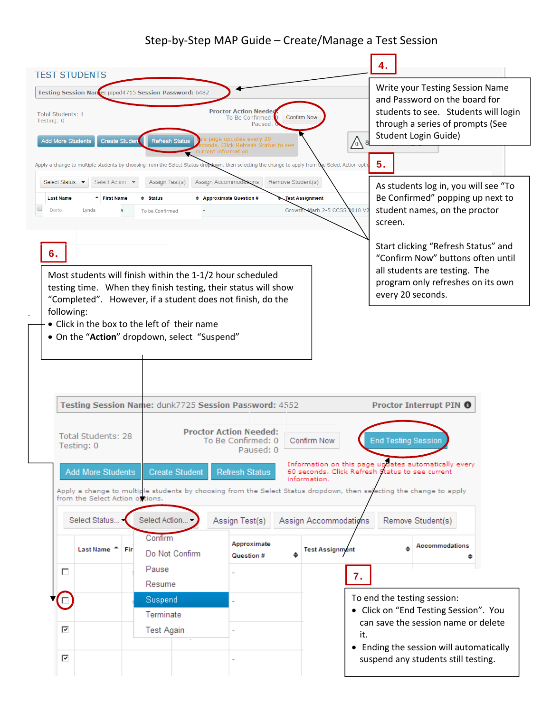# Step‐by‐Step MAP Guide – Create/Manage a Test Session

| <b>TEST STUDENTS</b>                                                                                                                                                                                                                                                                                                  | 4.                                                                                                                                                                   |  |
|-----------------------------------------------------------------------------------------------------------------------------------------------------------------------------------------------------------------------------------------------------------------------------------------------------------------------|----------------------------------------------------------------------------------------------------------------------------------------------------------------------|--|
| Testing Session Nance: piped4715 Session Password: 6482<br><b>Proctor Action Needed</b><br>Total Students: 1<br><b>Confirm Now</b><br>To Be Confirmed:<br>Testing: 0<br>Paused:<br>s page updates every 20<br><b>Add More Students</b><br><b>Create Studen</b><br><b>Refresh Status</b><br>$\bigwedge$ s              | Write your Testing Session Name<br>and Password on the board for<br>students to see. Students will login<br>through a series of prompts (See<br>Student Login Guide) |  |
| conds. Click Refresh Status to see<br>current information.<br>Apply a change to multiple students by choosing from the Select Status dropdown, then selecting the change to apply from the Select Action optio                                                                                                        | 5.                                                                                                                                                                   |  |
| Remove Student(s)<br>Select Status ▼<br>Select Action ▼<br>Assign Test(s)<br>Assign Accommodations<br>← First Name<br>♦ Approximate Question #<br><b>Last Name</b><br>$\div$ Status<br><b>Test Assignment</b><br>u<br>Growth. Math 2-5 CCSS 2010 V2<br>Dorio<br>Lynda<br>a<br>To be Confirmed                         | As students log in, you will see "To<br>Be Confirmed" popping up next to<br>student names, on the proctor<br>screen.                                                 |  |
| 6.<br>Most students will finish within the 1-1/2 hour scheduled<br>testing time. When they finish testing, their status will show<br>"Completed". However, if a student does not finish, do the                                                                                                                       | Start clicking "Refresh Status" and<br>"Confirm Now" buttons often until<br>all students are testing. The<br>program only refreshes on its own<br>every 20 seconds.  |  |
| following:<br>• Click in the box to the left of their name<br>• On the "Action" dropdown, select "Suspend"                                                                                                                                                                                                            |                                                                                                                                                                      |  |
| Testing Session Name: dunk7725 Session Password: 4552                                                                                                                                                                                                                                                                 | Proctor Interrupt PIN <sup>6</sup>                                                                                                                                   |  |
| <b>Proctor Action Needed:</b><br>Total Students: 28<br>To Be Confirmed: 0<br>Confirm Now<br>Testing: 0<br>Paused: 0                                                                                                                                                                                                   | <b>End Testing Session</b>                                                                                                                                           |  |
| Information on this page updates automatically every<br><b>Add More Students</b><br>Refresh Status<br>60 seconds. Click Refresh Status to see current<br><b>Create Student</b><br>information.<br>Apply a change to multiple students by choosing from the Select Status dropdown, then selecting the change to apply |                                                                                                                                                                      |  |
| from the Select Action of tions.<br>Select Action<br>Select Status<br>Assign Test(s)<br>Assign Accommodations<br>Remove Student(s)                                                                                                                                                                                    |                                                                                                                                                                      |  |
| Confirm<br>Approximate<br>Last Name <sup>*</sup> Fir<br><b>Test Assignment</b><br>Do Not Confirm<br>٠<br>Question #                                                                                                                                                                                                   | <b>Accommodations</b>                                                                                                                                                |  |
| Pause<br>п<br>7.<br>Resume                                                                                                                                                                                                                                                                                            |                                                                                                                                                                      |  |
| Suspend                                                                                                                                                                                                                                                                                                               | To end the testing session:<br>• Click on "End Testing Session". You                                                                                                 |  |
| Terminate<br>⊽<br><b>Test Again</b><br>it.                                                                                                                                                                                                                                                                            | can save the session name or delete                                                                                                                                  |  |
| ☑                                                                                                                                                                                                                                                                                                                     | • Ending the session will automatically<br>suspend any students still testing.                                                                                       |  |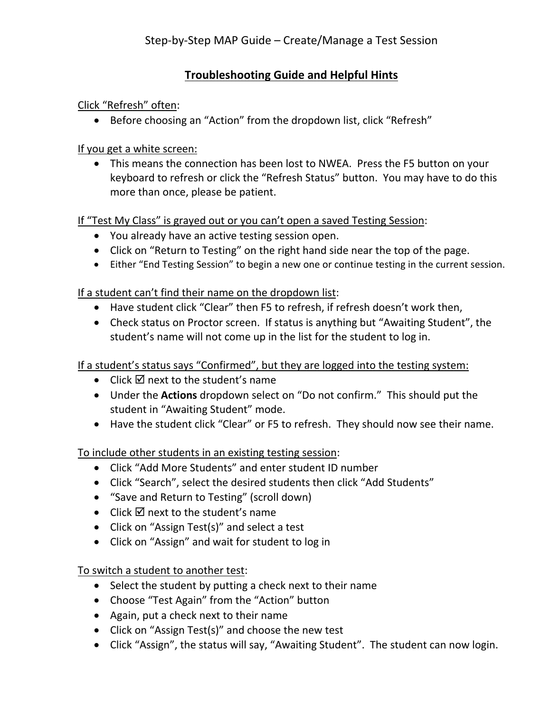# **Troubleshooting Guide and Helpful Hints**

Click "Refresh" often:

• Before choosing an "Action" from the dropdown list, click "Refresh"

If you get a white screen:

 This means the connection has been lost to NWEA. Press the F5 button on your keyboard to refresh or click the "Refresh Status" button. You may have to do this more than once, please be patient.

If "Test My Class" is grayed out or you can't open a saved Testing Session:

- You already have an active testing session open.
- Click on "Return to Testing" on the right hand side near the top of the page.
- Either "End Testing Session" to begin a new one or continue testing in the current session.

If a student can't find their name on the dropdown list:

- Have student click "Clear" then F5 to refresh, if refresh doesn't work then,
- Check status on Proctor screen. If status is anything but "Awaiting Student", the student's name will not come up in the list for the student to log in.

If a student's status says "Confirmed", but they are logged into the testing system:

- $\bullet$  Click  $\overline{M}$  next to the student's name
- Under the **Actions** dropdown select on "Do not confirm." This should put the student in "Awaiting Student" mode.
- Have the student click "Clear" or F5 to refresh. They should now see their name.

To include other students in an existing testing session:

- Click "Add More Students" and enter student ID number
- Click "Search", select the desired students then click "Add Students"
- "Save and Return to Testing" (scroll down)
- Click  $\overline{a}$  next to the student's name
- Click on "Assign Test(s)" and select a test
- Click on "Assign" and wait for student to log in

To switch a student to another test:

- Select the student by putting a check next to their name
- Choose "Test Again" from the "Action" button
- Again, put a check next to their name
- Click on "Assign Test(s)" and choose the new test
- Click "Assign", the status will say, "Awaiting Student". The student can now login.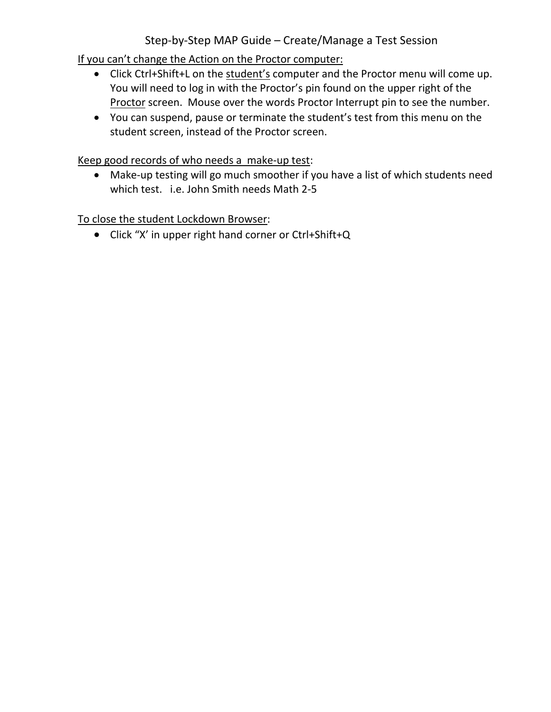# Step‐by‐Step MAP Guide – Create/Manage a Test Session

If you can't change the Action on the Proctor computer:

- Click Ctrl+Shift+L on the student's computer and the Proctor menu will come up. You will need to log in with the Proctor's pin found on the upper right of the Proctor screen. Mouse over the words Proctor Interrupt pin to see the number.
- You can suspend, pause or terminate the student's test from this menu on the student screen, instead of the Proctor screen.

Keep good records of who needs a make‐up test:

■ Make-up testing will go much smoother if you have a list of which students need which test. i.e. John Smith needs Math 2-5

To close the student Lockdown Browser:

Click "X' in upper right hand corner or Ctrl+Shift+Q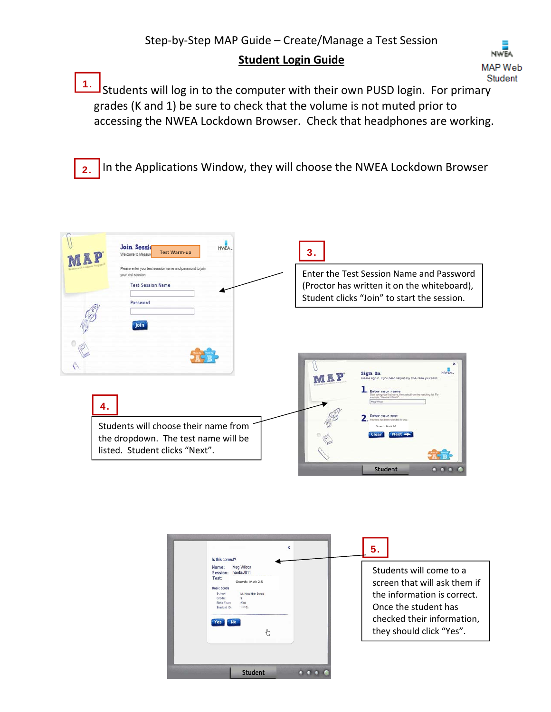# **Student Login Guide**



Students will log in to the computer with their own PUSD login. For primary grades (K and 1) be sure to check that the volume is not muted prior to accessing the NWEA Lockdown Browser. Check that headphones are working. 1.

2. In the Applications Window, they will choose the NWEA Lockdown Browser



| $\mathbf{x}$<br>Is this correct?                                                                                                                                                                     | 5.                                                                                                                                                                       |
|------------------------------------------------------------------------------------------------------------------------------------------------------------------------------------------------------|--------------------------------------------------------------------------------------------------------------------------------------------------------------------------|
| Meg Wilcox<br>Name:<br>Session:<br>hawksJB11<br>Test:<br>Growth: Math 2-5<br><b>Basic Stude</b><br>School:<br>Mt. Hood High School<br>Grade:<br><b>Birth Year:</b><br>2001<br>versy74<br>Student ID: | Students will come to a<br>screen that will ask them if<br>the information is correct.<br>Once the student has<br>checked their information,<br>they should click "Yes". |
| Student                                                                                                                                                                                              |                                                                                                                                                                          |